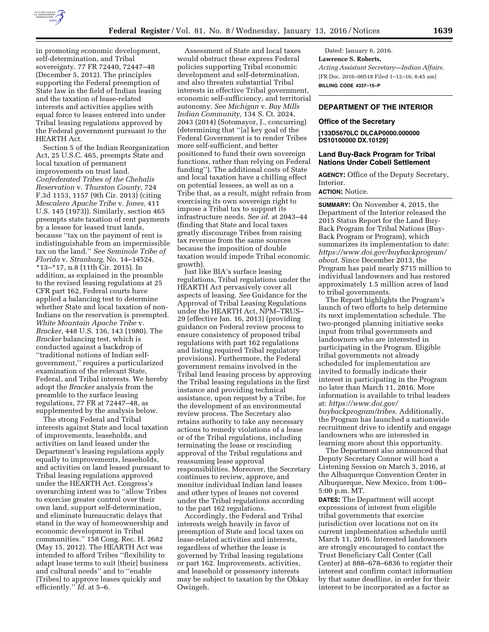

in promoting economic development, self-determination, and Tribal sovereignty. 77 FR 72440, 72447–48 (December 5, 2012). The principles supporting the Federal preemption of State law in the field of Indian leasing and the taxation of lease-related interests and activities applies with equal force to leases entered into under Tribal leasing regulations approved by the Federal government pursuant to the HEARTH Act.

Section 5 of the Indian Reorganization Act, 25 U.S.C. 465, preempts State and local taxation of permanent improvements on trust land. *Confederated Tribes of the Chehalis Reservation* v. *Thurston County,* 724 F.3d 1153, 1157 (9th Cir. 2013) (citing *Mescalero Apache Tribe* v. *Jones,* 411 U.S. 145 (1973)). Similarly, section 465 preempts state taxation of rent payments by a lessee for leased trust lands, because ''tax on the payment of rent is indistinguishable from an impermissible tax on the land.'' *See Seminole Tribe of Florida* v. *Stranburg,* No. 14–14524, \*13–\*17, n.8 (11th Cir. 2015). In addition, as explained in the preamble to the revised leasing regulations at 25 CFR part 162, Federal courts have applied a balancing test to determine whether State and local taxation of non-Indians on the reservation is preempted. *White Mountain Apache Tribe* v. *Bracker,* 448 U.S. 136, 143 (1980). The *Bracker* balancing test, which is conducted against a backdrop of ''traditional notions of Indian selfgovernment,'' requires a particularized examination of the relevant State, Federal, and Tribal interests. We hereby adopt the *Bracker* analysis from the preamble to the surface leasing regulations, 77 FR at  $72447 - 48$ , as supplemented by the analysis below.

The strong Federal and Tribal interests against State and local taxation of improvements, leaseholds, and activities on land leased under the Department's leasing regulations apply equally to improvements, leaseholds, and activities on land leased pursuant to Tribal leasing regulations approved under the HEARTH Act. Congress's overarching intent was to ''allow Tribes to exercise greater control over their own land, support self-determination, and eliminate bureaucratic delays that stand in the way of homeownership and economic development in Tribal communities.'' 158 Cong. Rec. H. 2682 (May 15, 2012). The HEARTH Act was intended to afford Tribes ''flexibility to adapt lease terms to suit [their] business and cultural needs'' and to ''enable [Tribes] to approve leases quickly and efficiently.'' *Id.* at 5–6.

Assessment of State and local taxes would obstruct these express Federal policies supporting Tribal economic development and self-determination, and also threaten substantial Tribal interests in effective Tribal government, economic self-sufficiency, and territorial autonomy. *See Michigan* v. *Bay Mills Indian Community,* 134 S. Ct. 2024, 2043 (2014) (Sotomayor, J., concurring) (determining that ''[a] key goal of the Federal Government is to render Tribes more self-sufficient, and better positioned to fund their own sovereign functions, rather than relying on Federal funding''). The additional costs of State and local taxation have a chilling effect on potential lessees, as well as on a Tribe that, as a result, might refrain from exercising its own sovereign right to impose a Tribal tax to support its infrastructure needs. *See id.* at 2043–44 (finding that State and local taxes greatly discourage Tribes from raising tax revenue from the same sources because the imposition of double taxation would impede Tribal economic growth).

Just like BIA's surface leasing regulations, Tribal regulations under the HEARTH Act pervasively cover all aspects of leasing. *See* Guidance for the Approval of Tribal Leasing Regulations under the HEARTH Act, NPM–TRUS– 29 (effective Jan. 16, 2013) (providing guidance on Federal review process to ensure consistency of proposed tribal regulations with part 162 regulations and listing required Tribal regulatory provisions). Furthermore, the Federal government remains involved in the Tribal land leasing process by approving the Tribal leasing regulations in the first instance and providing technical assistance, upon request by a Tribe, for the development of an environmental review process. The Secretary also retains authority to take any necessary actions to remedy violations of a lease or of the Tribal regulations, including terminating the lease or rescinding approval of the Tribal regulations and reassuming lease approval responsibilities. Moreover, the Secretary continues to review, approve, and monitor individual Indian land leases and other types of leases not covered under the Tribal regulations according to the part 162 regulations.

Accordingly, the Federal and Tribal interests weigh heavily in favor of preemption of State and local taxes on lease-related activities and interests, regardless of whether the lease is governed by Tribal leasing regulations or part 162. Improvements, activities, and leasehold or possessory interests may be subject to taxation by the Ohkay Owingeh.

Dated: January 6, 2016. **Lawrence S. Roberts,**  *Acting Assistant Secretary—Indian Affairs.*  [FR Doc. 2016–00518 Filed 1–12–16; 8:45 am] **BILLING CODE 4337–15–P** 

#### **DEPARTMENT OF THE INTERIOR**

#### **Office of the Secretary**

#### **[133D5670LC DLCAP0000.000000 DS10100000 DX.10129]**

#### **Land Buy-Back Program for Tribal Nations Under Cobell Settlement**

**AGENCY:** Office of the Deputy Secretary, Interior.

# **ACTION:** Notice.

**SUMMARY:** On November 4, 2015, the Department of the Interior released the 2015 Status Report for the Land Buy-Back Program for Tribal Nations (Buy-Back Program or Program), which summarizes its implementation to date: *[https://www.doi.gov/buybackprogram/](https://www.doi.gov/buybackprogram/about) [about.](https://www.doi.gov/buybackprogram/about)* Since December 2013, the Program has paid nearly \$715 million to individual landowners and has restored approximately 1.5 million acres of land to tribal governments.

The Report highlights the Program's launch of two efforts to help determine its next implementation schedule. The two-pronged planning initiative seeks input from tribal governments and landowners who are interested in participating in the Program. Eligible tribal governments not already scheduled for implementation are invited to formally indicate their interest in participating in the Program no later than March 11, 2016. More information is available to tribal leaders at: *[https://www.doi.gov/](https://www.doi.gov/buybackprogram/tribes) [buybackprogram/tribes.](https://www.doi.gov/buybackprogram/tribes)* Additionally, the Program has launched a nationwide recruitment drive to identify and engage landowners who are interested in learning more about this opportunity.

The Department also announced that Deputy Secretary Connor will host a Listening Session on March 3, 2016, at the Albuquerque Convention Center in Albuquerque, New Mexico, from 1:00– 5:00 p.m. MT.

**DATES:** The Department will accept expressions of interest from eligible tribal governments that exercise jurisdiction over locations not on its current implementation schedule until March 11, 2016. Interested landowners are strongly encouraged to contact the Trust Beneficiary Call Center (Call Center) at 888–678–6836 to register their interest and confirm contact information by that same deadline, in order for their interest to be incorporated as a factor as